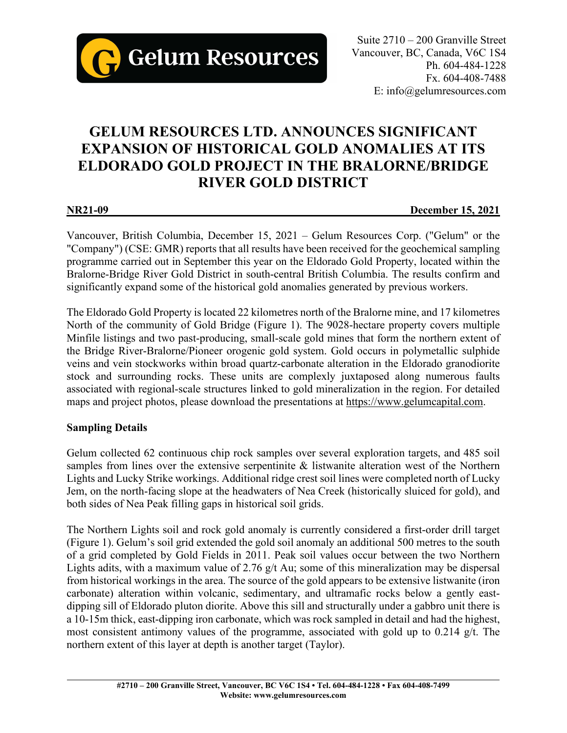

Suite 2710 – 200 Granville Street Vancouver, BC, Canada, V6C 1S4 Ph. 604-484-1228 Fx. 604-408-7488 E: info@gelumresources.com

# **GELUM RESOURCES LTD. ANNOUNCES SIGNIFICANT EXPANSION OF HISTORICAL GOLD ANOMALIES AT ITS ELDORADO GOLD PROJECT IN THE BRALORNE/BRIDGE RIVER GOLD DISTRICT**

**NR21-09 December 15, 2021**

Vancouver, British Columbia, December 15, 2021 – Gelum Resources Corp. ("Gelum" or the "Company") (CSE: GMR) reports that all results have been received for the geochemical sampling programme carried out in September this year on the Eldorado Gold Property, located within the Bralorne-Bridge River Gold District in south-central British Columbia. The results confirm and significantly expand some of the historical gold anomalies generated by previous workers.

The Eldorado Gold Property is located 22 kilometres north of the Bralorne mine, and 17 kilometres North of the community of Gold Bridge (Figure 1). The 9028-hectare property covers multiple Minfile listings and two past-producing, small-scale gold mines that form the northern extent of the Bridge River-Bralorne/Pioneer orogenic gold system. Gold occurs in polymetallic sulphide veins and vein stockworks within broad quartz-carbonate alteration in the Eldorado granodiorite stock and surrounding rocks. These units are complexly juxtaposed along numerous faults associated with regional-scale structures linked to gold mineralization in the region. For detailed maps and project photos, please download the presentations at [https://www.gelumcapital.com.](https://www.gelumcapital.com/)

## **Sampling Details**

Gelum collected 62 continuous chip rock samples over several exploration targets, and 485 soil samples from lines over the extensive serpentinite & listwanite alteration west of the Northern Lights and Lucky Strike workings. Additional ridge crest soil lines were completed north of Lucky Jem, on the north-facing slope at the headwaters of Nea Creek (historically sluiced for gold), and both sides of Nea Peak filling gaps in historical soil grids.

The Northern Lights soil and rock gold anomaly is currently considered a first-order drill target (Figure 1). Gelum's soil grid extended the gold soil anomaly an additional 500 metres to the south of a grid completed by Gold Fields in 2011. Peak soil values occur between the two Northern Lights adits, with a maximum value of 2.76 g/t Au; some of this mineralization may be dispersal from historical workings in the area. The source of the gold appears to be extensive listwanite (iron carbonate) alteration within volcanic, sedimentary, and ultramafic rocks below a gently eastdipping sill of Eldorado pluton diorite. Above this sill and structurally under a gabbro unit there is a 10-15m thick, east-dipping iron carbonate, which was rock sampled in detail and had the highest, most consistent antimony values of the programme, associated with gold up to 0.214 g/t. The northern extent of this layer at depth is another target (Taylor).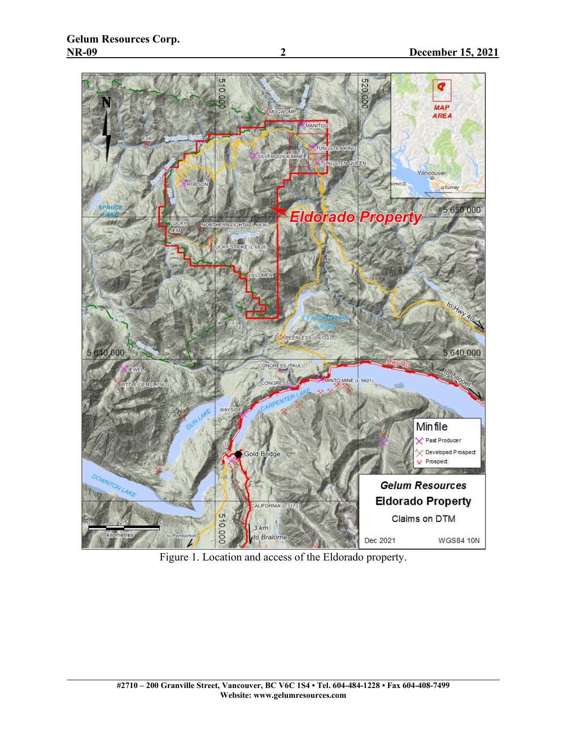

Figure 1. Location and access of the Eldorado property.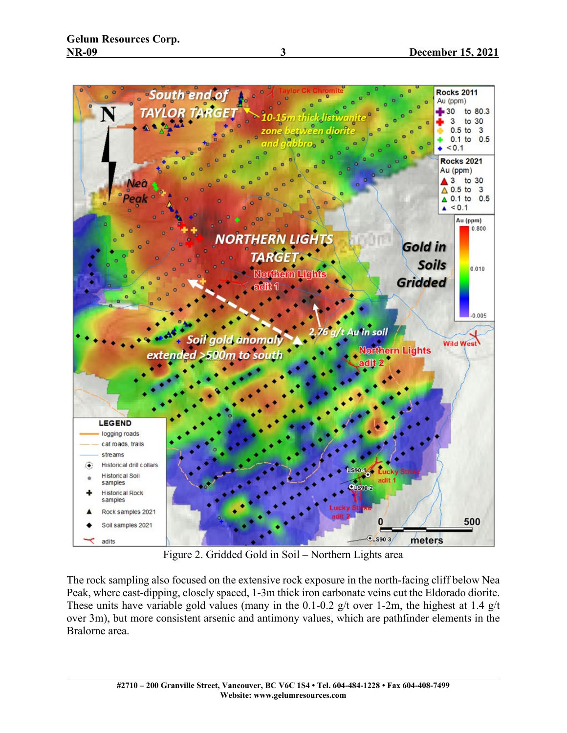

Figure 2. Gridded Gold in Soil – Northern Lights area

The rock sampling also focused on the extensive rock exposure in the north-facing cliff below Nea Peak, where east-dipping, closely spaced, 1-3m thick iron carbonate veins cut the Eldorado diorite. These units have variable gold values (many in the 0.1-0.2 g/t over 1-2m, the highest at 1.4 g/t over 3m), but more consistent arsenic and antimony values, which are pathfinder elements in the Bralorne area.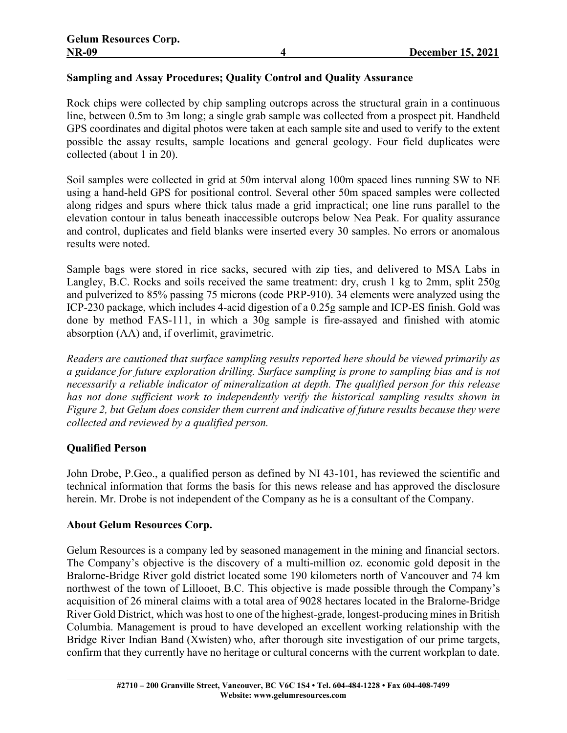## **Sampling and Assay Procedures; Quality Control and Quality Assurance**

Rock chips were collected by chip sampling outcrops across the structural grain in a continuous line, between 0.5m to 3m long; a single grab sample was collected from a prospect pit. Handheld GPS coordinates and digital photos were taken at each sample site and used to verify to the extent possible the assay results, sample locations and general geology. Four field duplicates were collected (about 1 in 20).

Soil samples were collected in grid at 50m interval along 100m spaced lines running SW to NE using a hand-held GPS for positional control. Several other 50m spaced samples were collected along ridges and spurs where thick talus made a grid impractical; one line runs parallel to the elevation contour in talus beneath inaccessible outcrops below Nea Peak. For quality assurance and control, duplicates and field blanks were inserted every 30 samples. No errors or anomalous results were noted.

Sample bags were stored in rice sacks, secured with zip ties, and delivered to MSA Labs in Langley, B.C. Rocks and soils received the same treatment: dry, crush 1 kg to 2mm, split 250g and pulverized to 85% passing 75 microns (code PRP-910). 34 elements were analyzed using the ICP-230 package, which includes 4-acid digestion of a 0.25g sample and ICP-ES finish. Gold was done by method FAS-111, in which a 30g sample is fire-assayed and finished with atomic absorption (AA) and, if overlimit, gravimetric.

*Readers are cautioned that surface sampling results reported here should be viewed primarily as a guidance for future exploration drilling. Surface sampling is prone to sampling bias and is not necessarily a reliable indicator of mineralization at depth. The qualified person for this release has not done sufficient work to independently verify the historical sampling results shown in Figure 2, but Gelum does consider them current and indicative of future results because they were collected and reviewed by a qualified person.*

## **Qualified Person**

John Drobe, P.Geo., a qualified person as defined by NI 43-101, has reviewed the scientific and technical information that forms the basis for this news release and has approved the disclosure herein. Mr. Drobe is not independent of the Company as he is a consultant of the Company.

## **About Gelum Resources Corp.**

Gelum Resources is a company led by seasoned management in the mining and financial sectors. The Company's objective is the discovery of a multi-million oz. economic gold deposit in the Bralorne-Bridge River gold district located some 190 kilometers north of Vancouver and 74 km northwest of the town of Lillooet, B.C. This objective is made possible through the Company's acquisition of 26 mineral claims with a total area of 9028 hectares located in the Bralorne-Bridge River Gold District, which was host to one of the highest-grade, longest-producing minesin British Columbia. Management is proud to have developed an excellent working relationship with the Bridge River Indian Band (Xwísten) who, after thorough site investigation of our prime targets, confirm that they currently have no heritage or cultural concerns with the current workplan to date.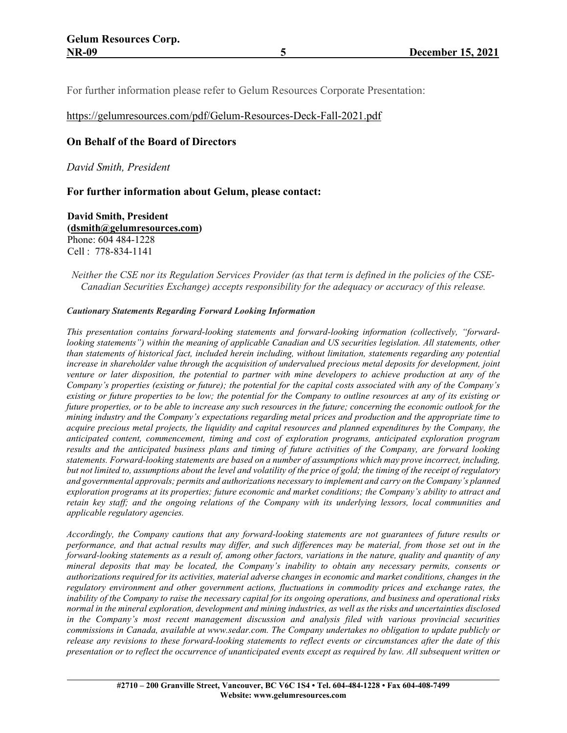For further information please refer to Gelum Resources Corporate Presentation:

#### <https://gelumresources.com/pdf/Gelum-Resources-Deck-Fall-2021.pdf>

### **On Behalf of the Board of Directors**

*David Smith, President*

#### **For further information about Gelum, please contact:**

**David Smith, President [\(dsmith@gelumresources.com\)](mailto:dsmith@gelumresources.com)** Phone: 604 484-1228 Cell : 778-834-1141

#### Neither the CSE nor its Regulation Services Provider (as that term is defined in the policies of the CSE-*Canadian Securities Exchange) accepts responsibility for the adequacy or accuracy of this release.*

#### *Cautionary Statements Regarding Forward Looking Information*

*This presentation contains forward-looking statements and forward-looking information (collectively, "forwardlooking statements") within the meaning of applicable Canadian and US securities legislation. All statements, other than statements of historical fact, included herein including, without limitation, statements regarding any potential increase in shareholder value through the acquisition of undervalued precious metal deposits for development, joint* venture or later disposition, the potential to partner with mine developers to achieve production at any of the Company's properties (existing or future); the potential for the capital costs associated with any of the Company's existing or future properties to be low; the potential for the Company to outline resources at any of its existing or future properties, or to be able to increase any such resources in the future; concerning the economic outlook for the *mining industry and the Company's expectations regarding metal prices and production and the appropriate time to* acquire precious metal projects, the liquidity and capital resources and planned expenditures by the Company, the *anticipated content, commencement, timing and cost of exploration programs, anticipated exploration program* results and the anticipated business plans and timing of future activities of the Company, are forward looking *statements. Forward-looking statements are based on a number of assumptions which may prove incorrect, including,* but not limited to, assumptions about the level and volatility of the price of gold; the timing of the receipt of regulatory *and governmental approvals; permits and authorizations necessary to implement and carry on the Company's planned* exploration programs at its properties; future economic and market conditions; the Company's ability to attract and retain key staff; and the ongoing relations of the Company with its underlying lessors, local communities and *applicable regulatory agencies.*

*Accordingly, the Company cautions that any forward-looking statements are not guarantees of future results or* performance, and that actual results may differ, and such differences may be material, from those set out in the forward-looking statements as a result of, among other factors, variations in the nature, quality and quantity of any *mineral deposits that may be located, the Company's inability to obtain any necessary permits, consents or* authorizations required for its activities, material adverse changes in economic and market conditions, changes in the *regulatory environment and other government actions, fluctuations in commodity prices and exchange rates, the* inability of the Company to raise the necessary capital for its ongoing operations, and business and operational risks normal in the mineral exploration, development and mining industries, as well as the risks and uncertainties disclosed *in the Company's most recent management discussion and analysis filed with various provincial securities commissions in Canada, available at www.sedar.com. The Company undertakes no obligation to update publicly or* release any revisions to these forward-looking statements to reflect events or circumstances after the date of this presentation or to reflect the occurrence of unanticipated events except as required by law. All subsequent written or